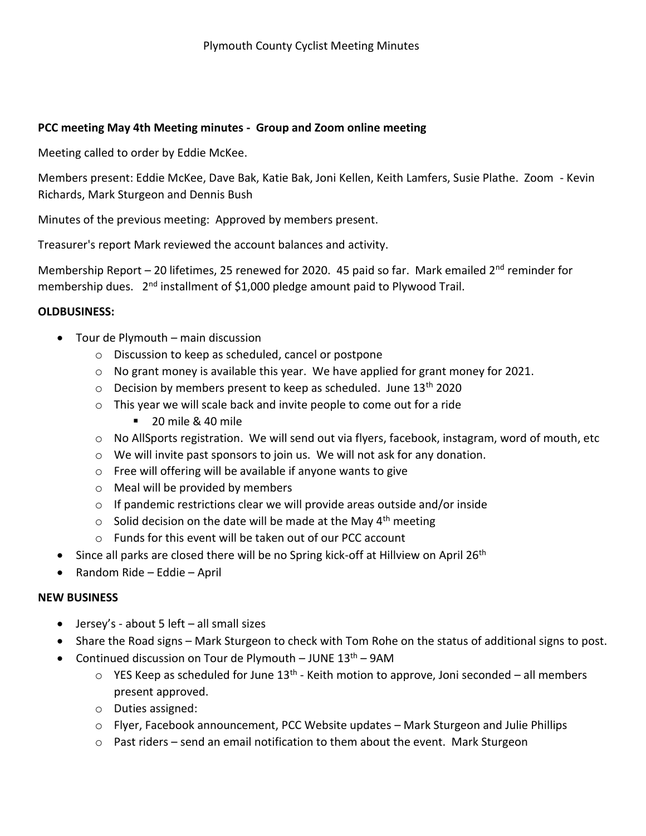## **PCC meeting May 4th Meeting minutes - Group and Zoom online meeting**

Meeting called to order by Eddie McKee.

Members present: Eddie McKee, Dave Bak, Katie Bak, Joni Kellen, Keith Lamfers, Susie Plathe. Zoom - Kevin Richards, Mark Sturgeon and Dennis Bush

Minutes of the previous meeting: Approved by members present.

Treasurer's report Mark reviewed the account balances and activity.

Membership Report – 20 lifetimes, 25 renewed for 2020. 45 paid so far. Mark emailed  $2<sup>nd</sup>$  reminder for membership dues. 2<sup>nd</sup> installment of \$1,000 pledge amount paid to Plywood Trail.

## **OLDBUSINESS:**

- Tour de Plymouth main discussion
	- o Discussion to keep as scheduled, cancel or postpone
	- o No grant money is available this year. We have applied for grant money for 2021.
	- $\circ$  Decision by members present to keep as scheduled. June 13<sup>th</sup> 2020
	- o This year we will scale back and invite people to come out for a ride
		- $\blacksquare$  20 mile & 40 mile
	- $\circ$  No AllSports registration. We will send out via flyers, facebook, instagram, word of mouth, etc
	- o We will invite past sponsors to join us. We will not ask for any donation.
	- o Free will offering will be available if anyone wants to give
	- o Meal will be provided by members
	- o If pandemic restrictions clear we will provide areas outside and/or inside
	- $\circ$  Solid decision on the date will be made at the May 4<sup>th</sup> meeting
	- o Funds for this event will be taken out of our PCC account
- $\bullet$  Since all parks are closed there will be no Spring kick-off at Hillview on April 26<sup>th</sup>
- Random Ride Eddie April

## **NEW BUSINESS**

- $\bullet$  Jersey's about 5 left all small sizes
- Share the Road signs Mark Sturgeon to check with Tom Rohe on the status of additional signs to post.
- Continued discussion on Tour de Plymouth JUNE  $13<sup>th</sup>$  9AM
	- $\circ$  YES Keep as scheduled for June 13<sup>th</sup> Keith motion to approve, Joni seconded all members present approved.
	- o Duties assigned:
	- o Flyer, Facebook announcement, PCC Website updates Mark Sturgeon and Julie Phillips
	- $\circ$  Past riders send an email notification to them about the event. Mark Sturgeon